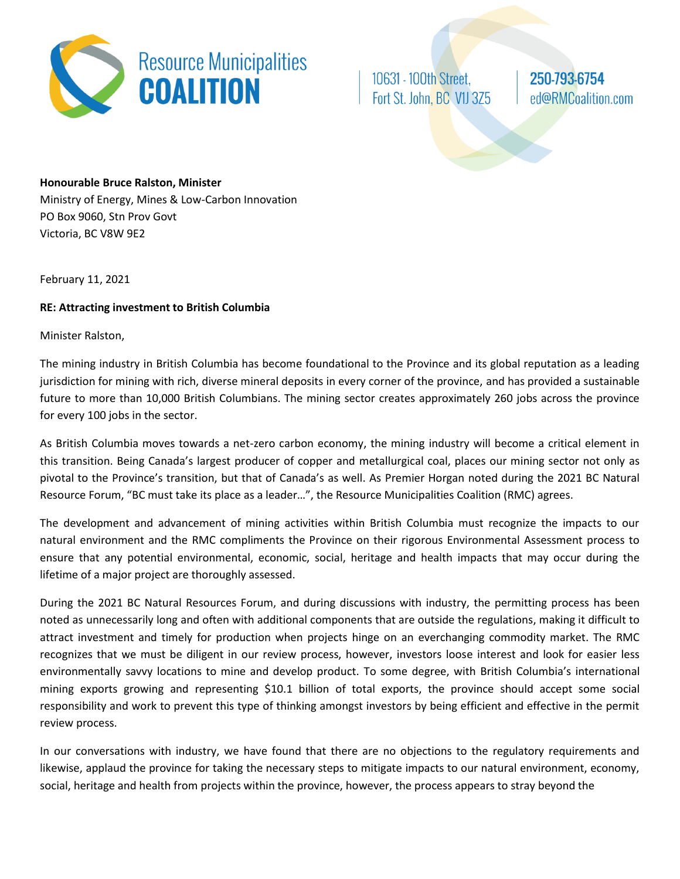

10631 - 100th Street, Fort St. John, BC V1J 3Z5 250-793-6754 ed@RMCoalition.com

## **Honourable Bruce Ralston, Minister**

Ministry of Energy, Mines & Low-Carbon Innovation PO Box 9060, Stn Prov Govt Victoria, BC V8W 9E2

February 11, 2021

## **RE: Attracting investment to British Columbia**

Minister Ralston,

The mining industry in British Columbia has become foundational to the Province and its global reputation as a leading jurisdiction for mining with rich, diverse mineral deposits in every corner of the province, and has provided a sustainable future to more than 10,000 British Columbians. The mining sector creates approximately 260 jobs across the province for every 100 jobs in the sector.

As British Columbia moves towards a net-zero carbon economy, the mining industry will become a critical element in this transition. Being Canada's largest producer of copper and metallurgical coal, places our mining sector not only as pivotal to the Province's transition, but that of Canada's as well. As Premier Horgan noted during the 2021 BC Natural Resource Forum, "BC must take its place as a leader…", the Resource Municipalities Coalition (RMC) agrees.

The development and advancement of mining activities within British Columbia must recognize the impacts to our natural environment and the RMC compliments the Province on their rigorous Environmental Assessment process to ensure that any potential environmental, economic, social, heritage and health impacts that may occur during the lifetime of a major project are thoroughly assessed.

During the 2021 BC Natural Resources Forum, and during discussions with industry, the permitting process has been noted as unnecessarily long and often with additional components that are outside the regulations, making it difficult to attract investment and timely for production when projects hinge on an everchanging commodity market. The RMC recognizes that we must be diligent in our review process, however, investors loose interest and look for easier less environmentally savvy locations to mine and develop product. To some degree, with British Columbia's international mining exports growing and representing \$10.1 billion of total exports, the province should accept some social responsibility and work to prevent this type of thinking amongst investors by being efficient and effective in the permit review process.

In our conversations with industry, we have found that there are no objections to the regulatory requirements and likewise, applaud the province for taking the necessary steps to mitigate impacts to our natural environment, economy, social, heritage and health from projects within the province, however, the process appears to stray beyond the